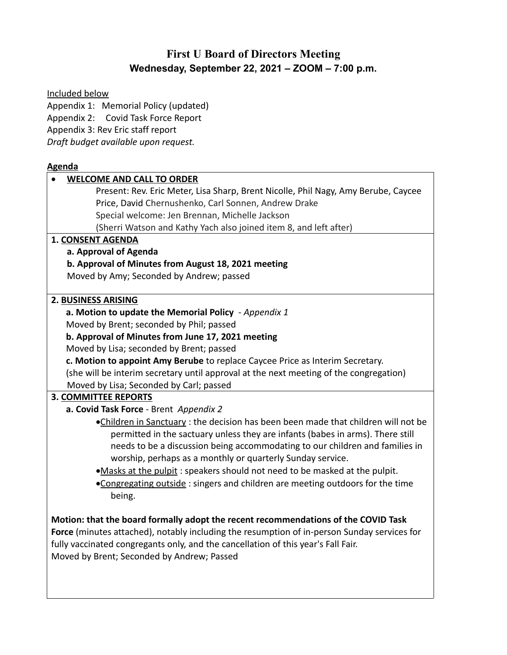# **First U Board of Directors Meeting Wednesday, September 22, 2021 – ZOOM – 7:00 p.m.**

Included below

Appendix 1: Memorial Policy (updated) Appendix 2: Covid Task Force Report Appendix 3: Rev Eric staff report *Draft budget available upon request.* 

## **Agenda**

| <b>WELCOME AND CALL TO ORDER</b>                                                                                                           |  |  |  |
|--------------------------------------------------------------------------------------------------------------------------------------------|--|--|--|
| Present: Rev. Eric Meter, Lisa Sharp, Brent Nicolle, Phil Nagy, Amy Berube, Caycee                                                         |  |  |  |
| Price, David Chernushenko, Carl Sonnen, Andrew Drake                                                                                       |  |  |  |
| Special welcome: Jen Brennan, Michelle Jackson                                                                                             |  |  |  |
| (Sherri Watson and Kathy Yach also joined item 8, and left after)                                                                          |  |  |  |
| <b>1. CONSENT AGENDA</b>                                                                                                                   |  |  |  |
| a. Approval of Agenda                                                                                                                      |  |  |  |
| b. Approval of Minutes from August 18, 2021 meeting                                                                                        |  |  |  |
| Moved by Amy; Seconded by Andrew; passed                                                                                                   |  |  |  |
| 2. BUSINESS ARISING                                                                                                                        |  |  |  |
| a. Motion to update the Memorial Policy - Appendix 1                                                                                       |  |  |  |
| Moved by Brent; seconded by Phil; passed                                                                                                   |  |  |  |
| b. Approval of Minutes from June 17, 2021 meeting                                                                                          |  |  |  |
| Moved by Lisa; seconded by Brent; passed                                                                                                   |  |  |  |
| c. Motion to appoint Amy Berube to replace Caycee Price as Interim Secretary.                                                              |  |  |  |
| (she will be interim secretary until approval at the next meeting of the congregation)                                                     |  |  |  |
| Moved by Lisa; Seconded by Carl; passed                                                                                                    |  |  |  |
| 3. COMMITTEE REPORTS                                                                                                                       |  |  |  |
| a. Covid Task Force - Brent Appendix 2                                                                                                     |  |  |  |
| .Children in Sanctuary: the decision has been been made that children will not be                                                          |  |  |  |
| permitted in the sactuary unless they are infants (babes in arms). There still                                                             |  |  |  |
| needs to be a discussion being accommodating to our children and families in<br>worship, perhaps as a monthly or quarterly Sunday service. |  |  |  |
| .Masks at the pulpit: speakers should not need to be masked at the pulpit.                                                                 |  |  |  |
| .Congregating outside: singers and children are meeting outdoors for the time                                                              |  |  |  |
| being.                                                                                                                                     |  |  |  |
|                                                                                                                                            |  |  |  |
| Motion: that the board formally adopt the recent recommendations of the COVID Task                                                         |  |  |  |
| Force (minutes attached), notably including the resumption of in-person Sunday services for                                                |  |  |  |
| fully vaccinated congregants only, and the cancellation of this year's Fall Fair.                                                          |  |  |  |
| Moved by Brent; Seconded by Andrew; Passed                                                                                                 |  |  |  |
|                                                                                                                                            |  |  |  |
|                                                                                                                                            |  |  |  |
|                                                                                                                                            |  |  |  |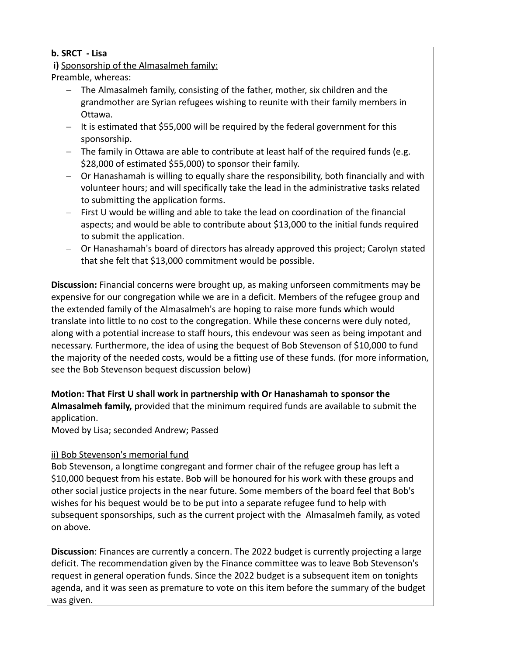## **b. SRCT - Lisa**

## **i)** Sponsorship of the Almasalmeh family:

Preamble, whereas:

- The Almasalmeh family, consisting of the father, mother, six children and the grandmother are Syrian refugees wishing to reunite with their family members in Ottawa.
- $-$  It is estimated that \$55,000 will be required by the federal government for this sponsorship.
- The family in Ottawa are able to contribute at least half of the required funds (e.g. \$28,000 of estimated \$55,000) to sponsor their family.
- Or Hanashamah is willing to equally share the responsibility, both financially and with volunteer hours; and will specifically take the lead in the administrative tasks related to submitting the application forms.
- First U would be willing and able to take the lead on coordination of the financial aspects; and would be able to contribute about \$13,000 to the initial funds required to submit the application.
- Or Hanashamah's board of directors has already approved this project; Carolyn stated that she felt that \$13,000 commitment would be possible.

**Discussion:** Financial concerns were brought up, as making unforseen commitments may be expensive for our congregation while we are in a deficit. Members of the refugee group and the extended family of the Almasalmeh's are hoping to raise more funds which would translate into little to no cost to the congregation. While these concerns were duly noted, along with a potential increase to staff hours, this endevour was seen as being impotant and necessary. Furthermore, the idea of using the bequest of Bob Stevenson of \$10,000 to fund the majority of the needed costs, would be a fitting use of these funds. (for more information, see the Bob Stevenson bequest discussion below)

## **Motion: That First U shall work in partnership with Or Hanashamah to sponsor the Almasalmeh family,** provided that the minimum required funds are available to submit the application.

Moved by Lisa; seconded Andrew; Passed

## ii) Bob Stevenson's memorial fund

Bob Stevenson, a longtime congregant and former chair of the refugee group has left a \$10,000 bequest from his estate. Bob will be honoured for his work with these groups and other social justice projects in the near future. Some members of the board feel that Bob's wishes for his bequest would be to be put into a separate refugee fund to help with subsequent sponsorships, such as the current project with the Almasalmeh family, as voted on above.

**Discussion**: Finances are currently a concern. The 2022 budget is currently projecting a large deficit. The recommendation given by the Finance committee was to leave Bob Stevenson's request in general operation funds. Since the 2022 budget is a subsequent item on tonights agenda, and it was seen as premature to vote on this item before the summary of the budget was given.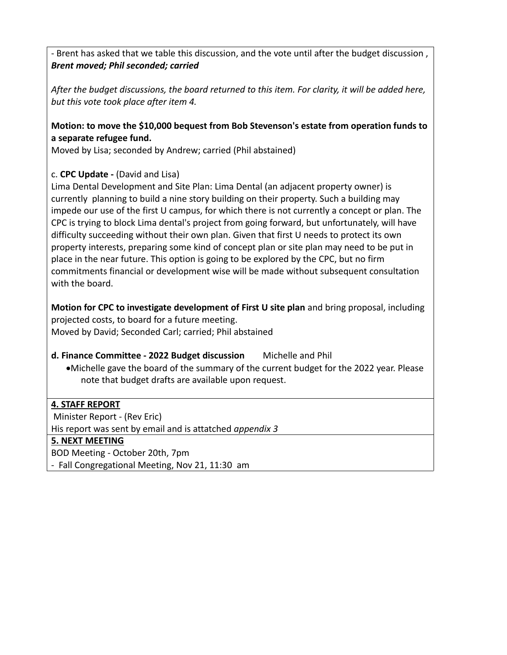- Brent has asked that we table this discussion, and the vote until after the budget discussion , *Brent moved; Phil seconded; carried*

*After the budget discussions, the board returned to this item. For clarity, it will be added here, but this vote took place after item 4.*

## **Motion: to move the \$10,000 bequest from Bob Stevenson's estate from operation funds to a separate refugee fund.**

Moved by Lisa; seconded by Andrew; carried (Phil abstained)

## c. **CPC Update -** (David and Lisa)

Lima Dental Development and Site Plan: Lima Dental (an adjacent property owner) is currently planning to build a nine story building on their property. Such a building may impede our use of the first U campus, for which there is not currently a concept or plan. The CPC is trying to block Lima dental's project from going forward, but unfortunately, will have difficulty succeeding without their own plan. Given that first U needs to protect its own property interests, preparing some kind of concept plan or site plan may need to be put in place in the near future. This option is going to be explored by the CPC, but no firm commitments financial or development wise will be made without subsequent consultation with the board.

**Motion for CPC to investigate development of First U site plan** and bring proposal, including projected costs, to board for a future meeting. Moved by David; Seconded Carl; carried; Phil abstained

## **d. Finance Committee - 2022 Budget discussion** Michelle and Phil

·Michelle gave the board of the summary of the current budget for the 2022 year. Please note that budget drafts are available upon request.

## **4. STAFF REPORT**

Minister Report - (Rev Eric)

His report was sent by email and is attatched *appendix 3*

## **5. NEXT MEETING**

BOD Meeting - October 20th, 7pm

- Fall Congregational Meeting, Nov 21, 11:30 am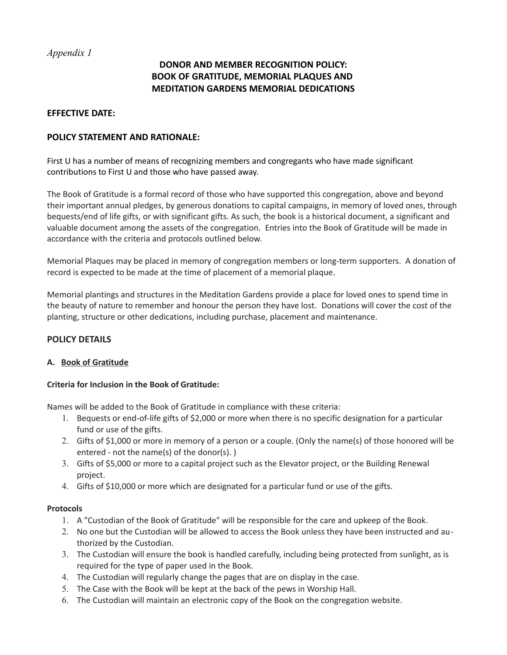## **DONOR AND MEMBER RECOGNITION POLICY: BOOK OF GRATITUDE, MEMORIAL PLAQUES AND MEDITATION GARDENS MEMORIAL DEDICATIONS**

#### **EFFECTIVE DATE:**

#### **POLICY STATEMENT AND RATIONALE:**

First U has a number of means of recognizing members and congregants who have made significant contributions to First U and those who have passed away.

The Book of Gratitude is a formal record of those who have supported this congregation, above and beyond their important annual pledges, by generous donations to capital campaigns, in memory of loved ones, through bequests/end of life gifts, or with significant gifts. As such, the book is a historical document, a significant and valuable document among the assets of the congregation. Entries into the Book of Gratitude will be made in accordance with the criteria and protocols outlined below.

Memorial Plaques may be placed in memory of congregation members or long-term supporters. A donation of record is expected to be made at the time of placement of a memorial plaque.

Memorial plantings and structures in the Meditation Gardens provide a place for loved ones to spend time in the beauty of nature to remember and honour the person they have lost. Donations will cover the cost of the planting, structure or other dedications, including purchase, placement and maintenance.

### **POLICY DETAILS**

#### **A. Book of Gratitude**

#### **Criteria for Inclusion in the Book of Gratitude:**

Names will be added to the Book of Gratitude in compliance with these criteria:

- 1. Bequests or end-of-life gifts of \$2,000 or more when there is no specific designation for a particular fund or use of the gifts.
- 2. Gifts of \$1,000 or more in memory of a person or a couple. (Only the name(s) of those honored will be entered - not the name(s) of the donor(s). )
- 3. Gifts of \$5,000 or more to a capital project such as the Elevator project, or the Building Renewal project.
- 4. Gifts of \$10,000 or more which are designated for a particular fund or use of the gifts.

#### **Protocols**

- 1. A "Custodian of the Book of Gratitude" will be responsible for the care and upkeep of the Book.
- 2. No one but the Custodian will be allowed to access the Book unless they have been instructed and authorized by the Custodian.
- 3. The Custodian will ensure the book is handled carefully, including being protected from sunlight, as is required for the type of paper used in the Book.
- 4. The Custodian will regularly change the pages that are on display in the case.
- 5. The Case with the Book will be kept at the back of the pews in Worship Hall.
- 6. The Custodian will maintain an electronic copy of the Book on the congregation website.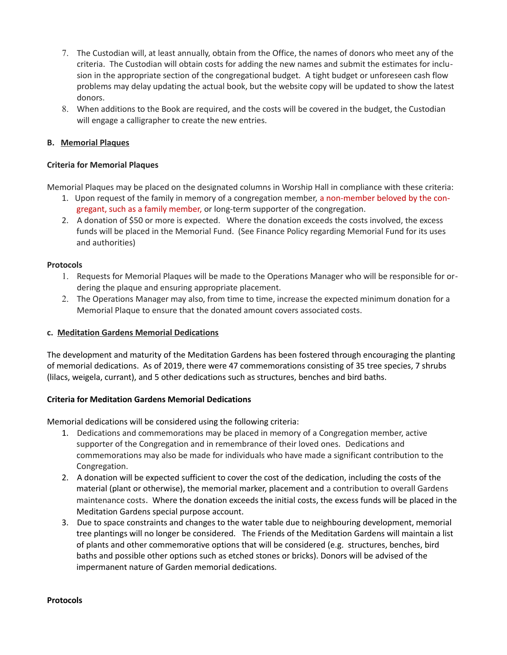- 7. The Custodian will, at least annually, obtain from the Office, the names of donors who meet any of the criteria. The Custodian will obtain costs for adding the new names and submit the estimates for inclusion in the appropriate section of the congregational budget. A tight budget or unforeseen cash flow problems may delay updating the actual book, but the website copy will be updated to show the latest donors.
- 8. When additions to the Book are required, and the costs will be covered in the budget, the Custodian will engage a calligrapher to create the new entries.

#### **B. Memorial Plaques**

#### **Criteria for Memorial Plaques**

Memorial Plaques may be placed on the designated columns in Worship Hall in compliance with these criteria:

- 1. Upon request of the family in memory of a congregation member, a non-member beloved by the congregant, such as a family member, or long-term supporter of the congregation.
- 2. A donation of \$50 or more is expected. Where the donation exceeds the costs involved, the excess funds will be placed in the Memorial Fund. (See Finance Policy regarding Memorial Fund for its uses and authorities)

#### **Protocols**

- 1. Requests for Memorial Plaques will be made to the Operations Manager who will be responsible for ordering the plaque and ensuring appropriate placement.
- 2. The Operations Manager may also, from time to time, increase the expected minimum donation for a Memorial Plaque to ensure that the donated amount covers associated costs.

#### **c. Meditation Gardens Memorial Dedications**

The development and maturity of the Meditation Gardens has been fostered through encouraging the planting of memorial dedications. As of 2019, there were 47 commemorations consisting of 35 tree species, 7 shrubs (lilacs, weigela, currant), and 5 other dedications such as structures, benches and bird baths.

#### **Criteria for Meditation Gardens Memorial Dedications**

Memorial dedications will be considered using the following criteria:

- 1. Dedications and commemorations may be placed in memory of a Congregation member, active supporter of the Congregation and in remembrance of their loved ones. Dedications and commemorations may also be made for individuals who have made a significant contribution to the Congregation.
- 2. A donation will be expected sufficient to cover the cost of the dedication, including the costs of the material (plant or otherwise), the memorial marker, placement and a contribution to overall Gardens maintenance costs. Where the donation exceeds the initial costs, the excess funds will be placed in the Meditation Gardens special purpose account.
- 3. Due to space constraints and changes to the water table due to neighbouring development, memorial tree plantings will no longer be considered. The Friends of the Meditation Gardens will maintain a list of plants and other commemorative options that will be considered (e.g. structures, benches, bird baths and possible other options such as etched stones or bricks). Donors will be advised of the impermanent nature of Garden memorial dedications.

#### **Protocols**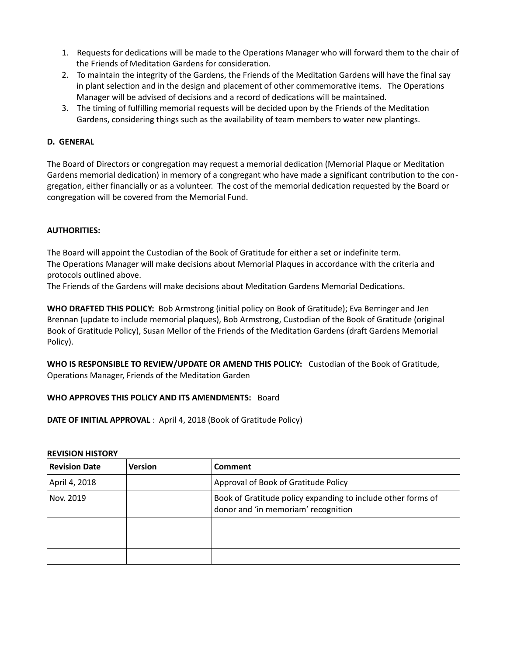- 1. Requests for dedications will be made to the Operations Manager who will forward them to the chair of the Friends of Meditation Gardens for consideration.
- 2. To maintain the integrity of the Gardens, the Friends of the Meditation Gardens will have the final say in plant selection and in the design and placement of other commemorative items. The Operations Manager will be advised of decisions and a record of dedications will be maintained.
- 3. The timing of fulfilling memorial requests will be decided upon by the Friends of the Meditation Gardens, considering things such as the availability of team members to water new plantings.

#### **D. GENERAL**

The Board of Directors or congregation may request a memorial dedication (Memorial Plaque or Meditation Gardens memorial dedication) in memory of a congregant who have made a significant contribution to the congregation, either financially or as a volunteer. The cost of the memorial dedication requested by the Board or congregation will be covered from the Memorial Fund.

#### **AUTHORITIES:**

The Board will appoint the Custodian of the Book of Gratitude for either a set or indefinite term. The Operations Manager will make decisions about Memorial Plaques in accordance with the criteria and protocols outlined above.

The Friends of the Gardens will make decisions about Meditation Gardens Memorial Dedications.

**WHO DRAFTED THIS POLICY:** Bob Armstrong (initial policy on Book of Gratitude); Eva Berringer and Jen Brennan (update to include memorial plaques), Bob Armstrong, Custodian of the Book of Gratitude (original Book of Gratitude Policy), Susan Mellor of the Friends of the Meditation Gardens (draft Gardens Memorial Policy).

**WHO IS RESPONSIBLE TO REVIEW/UPDATE OR AMEND THIS POLICY:** Custodian of the Book of Gratitude, Operations Manager, Friends of the Meditation Garden

#### **WHO APPROVES THIS POLICY AND ITS AMENDMENTS:** Board

**DATE OF INITIAL APPROVAL** : April 4, 2018 (Book of Gratitude Policy)

#### **REVISION HISTORY**

| <b>Revision Date</b> | <b>Version</b> | Comment                                                                                             |
|----------------------|----------------|-----------------------------------------------------------------------------------------------------|
| April 4, 2018        |                | Approval of Book of Gratitude Policy                                                                |
| Nov. 2019            |                | Book of Gratitude policy expanding to include other forms of<br>donor and 'in memoriam' recognition |
|                      |                |                                                                                                     |
|                      |                |                                                                                                     |
|                      |                |                                                                                                     |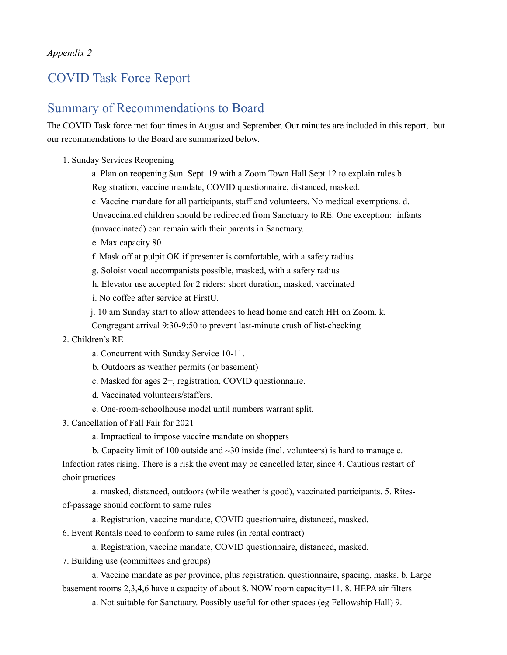## COVID Task Force Report

## Summary of Recommendations to Board

The COVID Task force met four times in August and September. Our minutes are included in this report, but our recommendations to the Board are summarized below.

- 1. Sunday Services Reopening
	- a. Plan on reopening Sun. Sept. 19 with a Zoom Town Hall Sept 12 to explain rules b.
	- Registration, vaccine mandate, COVID questionnaire, distanced, masked.
	- c. Vaccine mandate for all participants, staff and volunteers. No medical exemptions. d.
	- Unvaccinated children should be redirected from Sanctuary to RE. One exception: infants
	- (unvaccinated) can remain with their parents in Sanctuary.
	- e. Max capacity 80
	- f. Mask off at pulpit OK if presenter is comfortable, with a safety radius
	- g. Soloist vocal accompanists possible, masked, with a safety radius
	- h. Elevator use accepted for 2 riders: short duration, masked, vaccinated
	- i. No coffee after service at FirstU.
	- j. 10 am Sunday start to allow attendees to head home and catch HH on Zoom. k.
	- Congregant arrival 9:30-9:50 to prevent last-minute crush of list-checking
- 2. Children's RE
	- a. Concurrent with Sunday Service 10-11.
	- b. Outdoors as weather permits (or basement)
	- c. Masked for ages 2+, registration, COVID questionnaire.
	- d. Vaccinated volunteers/staffers.
	- e. One-room-schoolhouse model until numbers warrant split.
- 3. Cancellation of Fall Fair for 2021
	- a. Impractical to impose vaccine mandate on shoppers
	- b. Capacity limit of 100 outside and ~30 inside (incl. volunteers) is hard to manage c.

Infection rates rising. There is a risk the event may be cancelled later, since 4. Cautious restart of choir practices

a. masked, distanced, outdoors (while weather is good), vaccinated participants. 5. Ritesof-passage should conform to same rules

a. Registration, vaccine mandate, COVID questionnaire, distanced, masked.

6. Event Rentals need to conform to same rules (in rental contract)

a. Registration, vaccine mandate, COVID questionnaire, distanced, masked.

7. Building use (committees and groups)

a. Vaccine mandate as per province, plus registration, questionnaire, spacing, masks. b. Large basement rooms 2,3,4,6 have a capacity of about 8. NOW room capacity=11. 8. HEPA air filters

a. Not suitable for Sanctuary. Possibly useful for other spaces (eg Fellowship Hall) 9.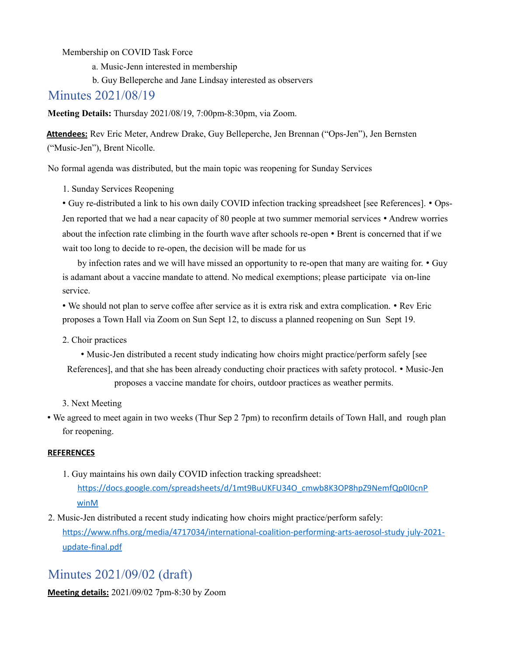Membership on COVID Task Force

a. Music-Jenn interested in membership

b. Guy Belleperche and Jane Lindsay interested as observers

Minutes 2021/08/19

**Meeting Details:** Thursday 2021/08/19, 7:00pm-8:30pm, via Zoom.

**Attendees:** Rev Eric Meter, Andrew Drake, Guy Belleperche, Jen Brennan ("Ops-Jen"), Jen Bernsten ("Music-Jen"), Brent Nicolle.

No formal agenda was distributed, but the main topic was reopening for Sunday Services

1. Sunday Services Reopening

• Guy re-distributed a link to his own daily COVID infection tracking spreadsheet [see References]. • Ops-Jen reported that we had a near capacity of 80 people at two summer memorial services • Andrew worries about the infection rate climbing in the fourth wave after schools re-open • Brent is concerned that if we wait too long to decide to re-open, the decision will be made for us

by infection rates and we will have missed an opportunity to re-open that many are waiting for. • Guy is adamant about a vaccine mandate to attend. No medical exemptions; please participate via on-line service.

• We should not plan to serve coffee after service as it is extra risk and extra complication. • Rev Eric proposes a Town Hall via Zoom on Sun Sept 12, to discuss a planned reopening on Sun Sept 19.

2. Choir practices

- Music-Jen distributed a recent study indicating how choirs might practice/perform safely [see
- References], and that she has been already conducting choir practices with safety protocol. Music-Jen proposes a vaccine mandate for choirs, outdoor practices as weather permits.

3. Next Meeting

• We agreed to meet again in two weeks (Thur Sep 2 7pm) to reconfirm details of Town Hall, and rough plan for reopening.

#### **REFERENCES**

- 1. Guy maintains his own daily COVID infection tracking spreadsheet: https://docs.google.com/spreadsheets/d/1mt9BuUKFU34O\_cmwb8K3OP8hpZ9NemfQp0I0cnP winM
- 2. Music-Jen distributed a recent study indicating how choirs might practice/perform safely: https://www.nfhs.org/media/4717034/international-coalition-performing-arts-aerosol-study july-2021 update-final.pdf

# Minutes 2021/09/02 (draft)

**Meeting details:** 2021/09/02 7pm-8:30 by Zoom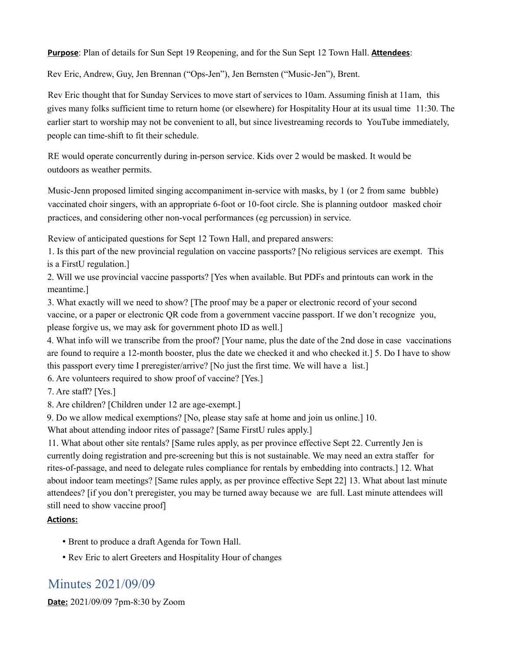**Purpose**: Plan of details for Sun Sept 19 Reopening, and for the Sun Sept 12 Town Hall. **Attendees**:

Rev Eric, Andrew, Guy, Jen Brennan ("Ops-Jen"), Jen Bernsten ("Music-Jen"), Brent.

Rev Eric thought that for Sunday Services to move start of services to 10am. Assuming finish at 11am, this gives many folks sufficient time to return home (or elsewhere) for Hospitality Hour at its usual time 11:30. The earlier start to worship may not be convenient to all, but since livestreaming records to YouTube immediately, people can time-shift to fit their schedule.

RE would operate concurrently during in-person service. Kids over 2 would be masked. It would be outdoors as weather permits.

Music-Jenn proposed limited singing accompaniment in-service with masks, by 1 (or 2 from same bubble) vaccinated choir singers, with an appropriate 6-foot or 10-foot circle. She is planning outdoor masked choir practices, and considering other non-vocal performances (eg percussion) in service.

Review of anticipated questions for Sept 12 Town Hall, and prepared answers:

1. Is this part of the new provincial regulation on vaccine passports? [No religious services are exempt. This is a FirstU regulation.]

2. Will we use provincial vaccine passports? [Yes when available. But PDFs and printouts can work in the meantime.]

3. What exactly will we need to show? [The proof may be a paper or electronic record of your second vaccine, or a paper or electronic QR code from a government vaccine passport. If we don't recognize you, please forgive us, we may ask for government photo ID as well.]

4. What info will we transcribe from the proof? [Your name, plus the date of the 2nd dose in case vaccinations are found to require a 12-month booster, plus the date we checked it and who checked it.] 5. Do I have to show this passport every time I preregister/arrive? [No just the first time. We will have a list.]

6. Are volunteers required to show proof of vaccine? [Yes.]

7. Are staff? [Yes.]

8. Are children? [Children under 12 are age-exempt.]

9. Do we allow medical exemptions? [No, please stay safe at home and join us online.] 10.

What about attending indoor rites of passage? [Same FirstU rules apply.]

11. What about other site rentals? [Same rules apply, as per province effective Sept 22. Currently Jen is currently doing registration and pre-screening but this is not sustainable. We may need an extra staffer for rites-of-passage, and need to delegate rules compliance for rentals by embedding into contracts.] 12. What about indoor team meetings? [Same rules apply, as per province effective Sept 22] 13. What about last minute attendees? [if you don't preregister, you may be turned away because we are full. Last minute attendees will still need to show vaccine proof]

#### **Actions:**

- Brent to produce a draft Agenda for Town Hall.
- Rev Eric to alert Greeters and Hospitality Hour of changes

# Minutes 2021/09/09

**Date:** 2021/09/09 7pm-8:30 by Zoom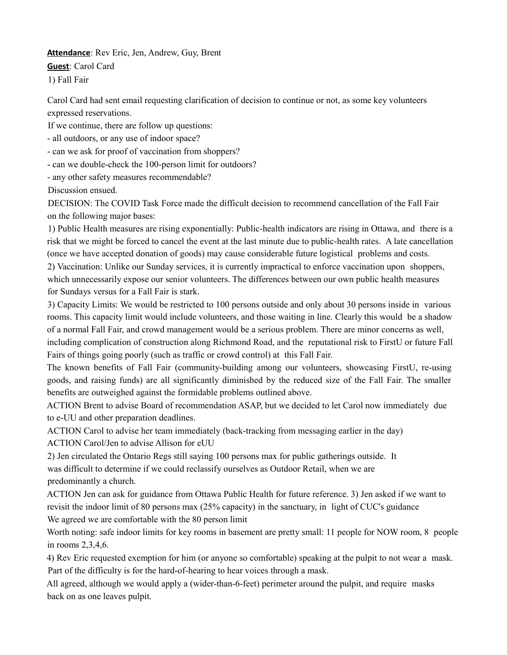#### **Attendance**: Rev Eric, Jen, Andrew, Guy, Brent

#### **Guest**: Carol Card

1) Fall Fair

Carol Card had sent email requesting clarification of decision to continue or not, as some key volunteers expressed reservations.

If we continue, there are follow up questions:

- all outdoors, or any use of indoor space?

- can we ask for proof of vaccination from shoppers?
- can we double-check the 100-person limit for outdoors?

- any other safety measures recommendable?

Discussion ensued.

DECISION: The COVID Task Force made the difficult decision to recommend cancellation of the Fall Fair on the following major bases:

1) Public Health measures are rising exponentially: Public-health indicators are rising in Ottawa, and there is a risk that we might be forced to cancel the event at the last minute due to public-health rates. A late cancellation (once we have accepted donation of goods) may cause considerable future logistical problems and costs.

2) Vaccination: Unlike our Sunday services, it is currently impractical to enforce vaccination upon shoppers, which unnecessarily expose our senior volunteers. The differences between our own public health measures for Sundays versus for a Fall Fair is stark.

3) Capacity Limits: We would be restricted to 100 persons outside and only about 30 persons inside in various rooms. This capacity limit would include volunteers, and those waiting in line. Clearly this would be a shadow of a normal Fall Fair, and crowd management would be a serious problem. There are minor concerns as well, including complication of construction along Richmond Road, and the reputational risk to FirstU or future Fall Fairs of things going poorly (such as traffic or crowd control) at this Fall Fair.

The known benefits of Fall Fair (community-building among our volunteers, showcasing FirstU, re-using goods, and raising funds) are all significantly diminished by the reduced size of the Fall Fair. The smaller benefits are outweighed against the formidable problems outlined above.

ACTION Brent to advise Board of recommendation ASAP, but we decided to let Carol now immediately due to e-UU and other preparation deadlines.

ACTION Carol to advise her team immediately (back-tracking from messaging earlier in the day) ACTION Carol/Jen to advise Allison for eUU

2) Jen circulated the Ontario Regs still saying 100 persons max for public gatherings outside. It was difficult to determine if we could reclassify ourselves as Outdoor Retail, when we are predominantly a church.

ACTION Jen can ask for guidance from Ottawa Public Health for future reference. 3) Jen asked if we want to revisit the indoor limit of 80 persons max (25% capacity) in the sanctuary, in light of CUC's guidance We agreed we are comfortable with the 80 person limit

Worth noting: safe indoor limits for key rooms in basement are pretty small: 11 people for NOW room, 8 people in rooms 2,3,4,6.

4) Rev Eric requested exemption for him (or anyone so comfortable) speaking at the pulpit to not wear a mask. Part of the difficulty is for the hard-of-hearing to hear voices through a mask.

All agreed, although we would apply a (wider-than-6-feet) perimeter around the pulpit, and require masks back on as one leaves pulpit.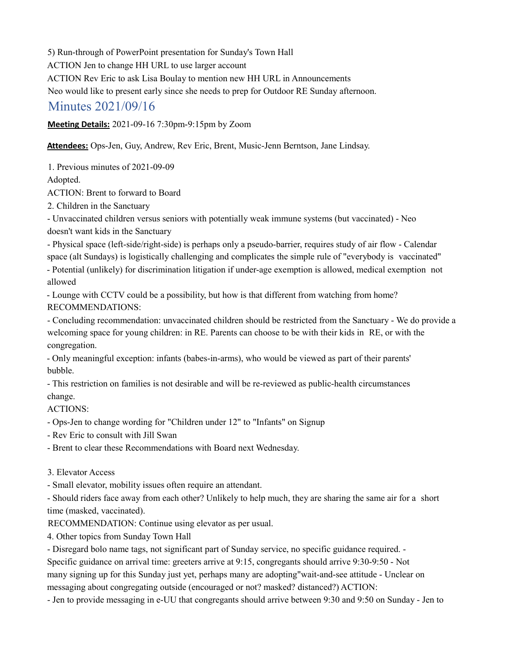5) Run-through of PowerPoint presentation for Sunday's Town Hall

ACTION Jen to change HH URL to use larger account

ACTION Rev Eric to ask Lisa Boulay to mention new HH URL in Announcements

Neo would like to present early since she needs to prep for Outdoor RE Sunday afternoon.

## Minutes 2021/09/16

**Meeting Details:** 2021-09-16 7:30pm-9:15pm by Zoom

**Attendees:** Ops-Jen, Guy, Andrew, Rev Eric, Brent, Music-Jenn Berntson, Jane Lindsay.

1. Previous minutes of 2021-09-09

Adopted.

ACTION: Brent to forward to Board

2. Children in the Sanctuary

- Unvaccinated children versus seniors with potentially weak immune systems (but vaccinated) - Neo doesn't want kids in the Sanctuary

- Physical space (left-side/right-side) is perhaps only a pseudo-barrier, requires study of air flow - Calendar space (alt Sundays) is logistically challenging and complicates the simple rule of "everybody is vaccinated" - Potential (unlikely) for discrimination litigation if under-age exemption is allowed, medical exemption not

allowed

- Lounge with CCTV could be a possibility, but how is that different from watching from home? RECOMMENDATIONS:

- Concluding recommendation: unvaccinated children should be restricted from the Sanctuary - We do provide a welcoming space for young children: in RE. Parents can choose to be with their kids in RE, or with the congregation.

- Only meaningful exception: infants (babes-in-arms), who would be viewed as part of their parents' bubble.

- This restriction on families is not desirable and will be re-reviewed as public-health circumstances change.

ACTIONS:

- Ops-Jen to change wording for "Children under 12" to "Infants" on Signup

- Rev Eric to consult with Jill Swan

- Brent to clear these Recommendations with Board next Wednesday.

### 3. Elevator Access

- Small elevator, mobility issues often require an attendant.

- Should riders face away from each other? Unlikely to help much, they are sharing the same air for a short time (masked, vaccinated).

RECOMMENDATION: Continue using elevator as per usual.

4. Other topics from Sunday Town Hall

- Disregard bolo name tags, not significant part of Sunday service, no specific guidance required. -

Specific guidance on arrival time: greeters arrive at 9:15, congregants should arrive 9:30-9:50 - Not many signing up for this Sunday just yet, perhaps many are adopting"wait-and-see attitude - Unclear on messaging about congregating outside (encouraged or not? masked? distanced?) ACTION:

- Jen to provide messaging in e-UU that congregants should arrive between 9:30 and 9:50 on Sunday - Jen to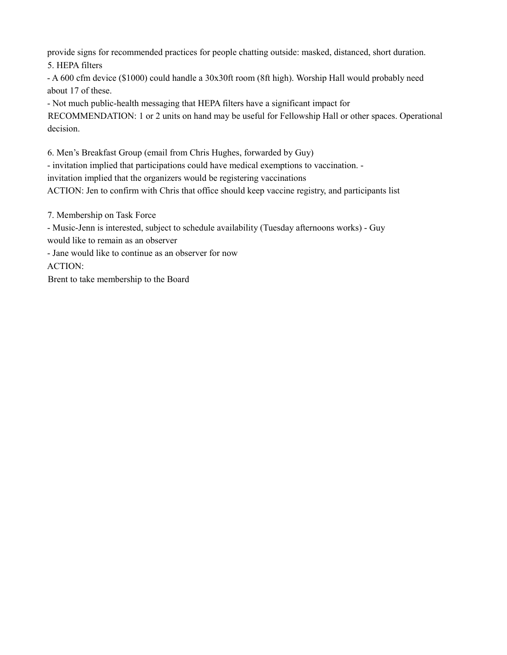provide signs for recommended practices for people chatting outside: masked, distanced, short duration. 5. HEPA filters

- A 600 cfm device (\$1000) could handle a 30x30ft room (8ft high). Worship Hall would probably need about 17 of these.

- Not much public-health messaging that HEPA filters have a significant impact for RECOMMENDATION: 1 or 2 units on hand may be useful for Fellowship Hall or other spaces. Operational decision.

6. Men's Breakfast Group (email from Chris Hughes, forwarded by Guy)

- invitation implied that participations could have medical exemptions to vaccination. -

invitation implied that the organizers would be registering vaccinations

ACTION: Jen to confirm with Chris that office should keep vaccine registry, and participants list

7. Membership on Task Force

- Music-Jenn is interested, subject to schedule availability (Tuesday afternoons works) - Guy would like to remain as an observer

- Jane would like to continue as an observer for now

ACTION:

Brent to take membership to the Board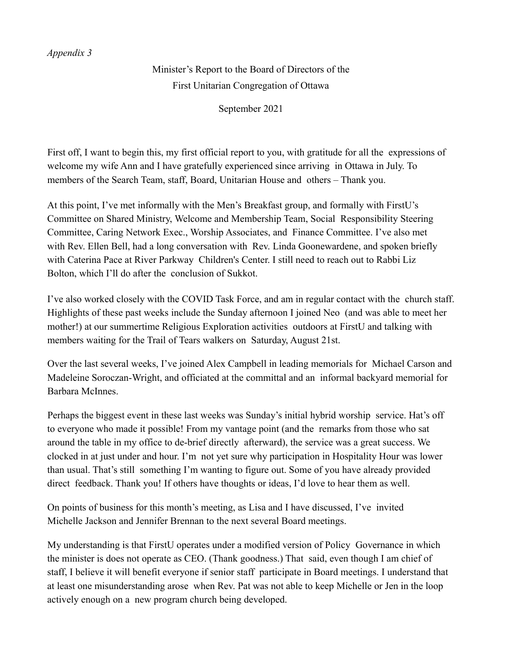### *Appendix 3*

Minister's Report to the Board of Directors of the First Unitarian Congregation of Ottawa

September 2021

First off, I want to begin this, my first official report to you, with gratitude for all the expressions of welcome my wife Ann and I have gratefully experienced since arriving in Ottawa in July. To members of the Search Team, staff, Board, Unitarian House and others – Thank you.

At this point, I've met informally with the Men's Breakfast group, and formally with FirstU's Committee on Shared Ministry, Welcome and Membership Team, Social Responsibility Steering Committee, Caring Network Exec., Worship Associates, and Finance Committee. I've also met with Rev. Ellen Bell, had a long conversation with Rev. Linda Goonewardene, and spoken briefly with Caterina Pace at River Parkway Children's Center. I still need to reach out to Rabbi Liz Bolton, which I'll do after the conclusion of Sukkot.

I've also worked closely with the COVID Task Force, and am in regular contact with the church staff. Highlights of these past weeks include the Sunday afternoon I joined Neo (and was able to meet her mother!) at our summertime Religious Exploration activities outdoors at FirstU and talking with members waiting for the Trail of Tears walkers on Saturday, August 21st.

Over the last several weeks, I've joined Alex Campbell in leading memorials for Michael Carson and Madeleine Soroczan-Wright, and officiated at the committal and an informal backyard memorial for Barbara McInnes.

Perhaps the biggest event in these last weeks was Sunday's initial hybrid worship service. Hat's off to everyone who made it possible! From my vantage point (and the remarks from those who sat around the table in my office to de-brief directly afterward), the service was a great success. We clocked in at just under and hour. I'm not yet sure why participation in Hospitality Hour was lower than usual. That's still something I'm wanting to figure out. Some of you have already provided direct feedback. Thank you! If others have thoughts or ideas, I'd love to hear them as well.

On points of business for this month's meeting, as Lisa and I have discussed, I've invited Michelle Jackson and Jennifer Brennan to the next several Board meetings.

My understanding is that FirstU operates under a modified version of Policy Governance in which the minister is does not operate as CEO. (Thank goodness.) That said, even though I am chief of staff, I believe it will benefit everyone if senior staff participate in Board meetings. I understand that at least one misunderstanding arose when Rev. Pat was not able to keep Michelle or Jen in the loop actively enough on a new program church being developed.